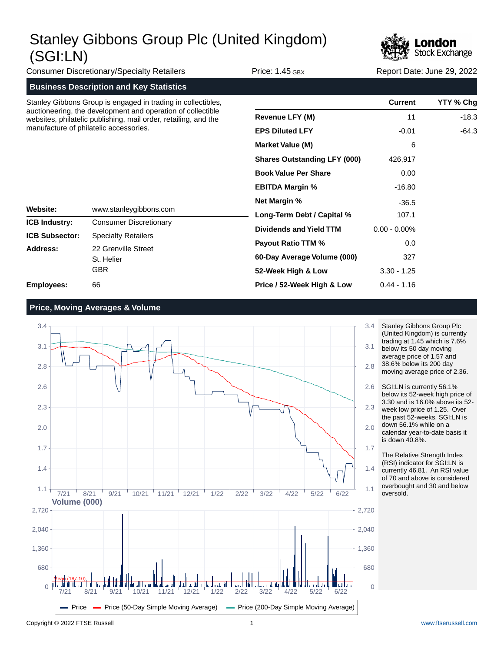

Consumer Discretionary/Specialty Retailers **Price: 1.45 GBX** Report Date: June 29, 2022

**Business Description and Key Statistics**

Stanley Gibbons Group is engaged in trading in collectibles, auctioneering, the development and operation of collectible websites, philatelic publishing, mail order, retailing, and the manufacture of philatelic accessories.

> Consumer Discretionary Specialty Retailers

22 Grenville Street

St. Helier GBR 66

www.stanleygibbons.com

|                                     | <b>Current</b>  | YTY % Chg |
|-------------------------------------|-----------------|-----------|
| <b>Revenue LFY (M)</b>              | 11              | $-18.3$   |
| <b>EPS Diluted LFY</b>              | $-0.01$         | $-64.3$   |
| <b>Market Value (M)</b>             | 6               |           |
| <b>Shares Outstanding LFY (000)</b> | 426,917         |           |
| <b>Book Value Per Share</b>         | 0.00            |           |
| <b>EBITDA Margin %</b>              | $-16.80$        |           |
| <b>Net Margin %</b>                 | $-36.5$         |           |
| Long-Term Debt / Capital %          | 107.1           |           |
| Dividends and Yield TTM             | $0.00 - 0.00\%$ |           |
| <b>Payout Ratio TTM %</b>           | 0.0             |           |
| 60-Day Average Volume (000)         | 327             |           |
| 52-Week High & Low                  | $3.30 - 1.25$   |           |
| Price / 52-Week High & Low          | $0.44 - 1.16$   |           |

**Price, Moving Averages & Volume**

**Website: ICB Industry: ICB Subsector: Address:**

**Employees:**



Stanley Gibbons Group Plc (United Kingdom) is currently trading at 1.45 which is 7.6% below its 50 day moving average price of 1.57 and 38.6% below its 200 day moving average price of 2.36.

SGI:LN is currently 56.1% below its 52-week high price of 3.30 and is 16.0% above its 52 week low price of 1.25. Over the past 52-weeks, SGI:LN is down 56.1% while on a calendar year-to-date basis it is down 40.8%.

The Relative Strength Index (RSI) indicator for SGI:LN is currently 46.81. An RSI value of 70 and above is considered overbought and 30 and below oversold.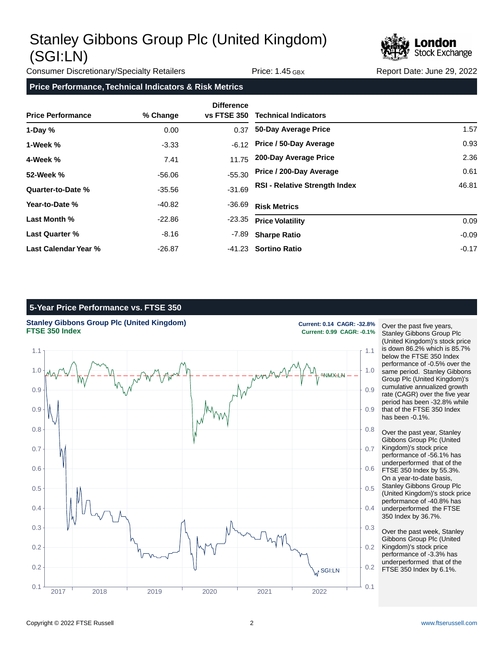

Consumer Discretionary/Specialty Retailers **Price: 1.45 GBX** Report Date: June 29, 2022

### **Price Performance, Technical Indicators & Risk Metrics**

| <b>Price Performance</b> | % Change | <b>Difference</b><br><b>vs FTSE 350</b> | <b>Technical Indicators</b>          |         |
|--------------------------|----------|-----------------------------------------|--------------------------------------|---------|
| 1-Day $%$                | 0.00     | 0.37                                    | 50-Day Average Price                 | 1.57    |
| 1-Week %                 | $-3.33$  | $-6.12$                                 | Price / 50-Day Average               | 0.93    |
| 4-Week %                 | 7.41     | 11.75                                   | 200-Day Average Price                | 2.36    |
| 52-Week %                | -56.06   | $-55.30$                                | Price / 200-Day Average              | 0.61    |
| Quarter-to-Date %        | $-35.56$ | $-31.69$                                | <b>RSI - Relative Strength Index</b> | 46.81   |
| Year-to-Date %           | $-40.82$ | -36.69                                  | <b>Risk Metrics</b>                  |         |
| Last Month %             | $-22.86$ | $-23.35$                                | <b>Price Volatility</b>              | 0.09    |
| <b>Last Quarter %</b>    | $-8.16$  | -7.89                                   | <b>Sharpe Ratio</b>                  | $-0.09$ |
| Last Calendar Year %     | $-26.87$ |                                         | -41.23 Sortino Ratio                 | $-0.17$ |

## **5-Year Price Performance vs. FTSE 350**



Over the past five years, Stanley Gibbons Group Plc (United Kingdom)'s stock price is down 86.2% which is 85.7% below the FTSE 350 Index performance of -0.5% over the same period. Stanley Gibbons Group Plc (United Kingdom)'s cumulative annualized growth rate (CAGR) over the five year period has been -32.8% while that of the FTSE 350 Index has been -0.1%.

Over the past year, Stanley Gibbons Group Plc (United Kingdom)'s stock price performance of -56.1% has underperformed that of the FTSE 350 Index by 55.3%. On a year-to-date basis, Stanley Gibbons Group Plc (United Kingdom)'s stock price performance of -40.8% has underperformed the FTSE 350 Index by 36.7%.

Over the past week, Stanley Gibbons Group Plc (United Kingdom)'s stock price performance of -3.3% has underperformed that of the FTSE 350 Index by 6.1%.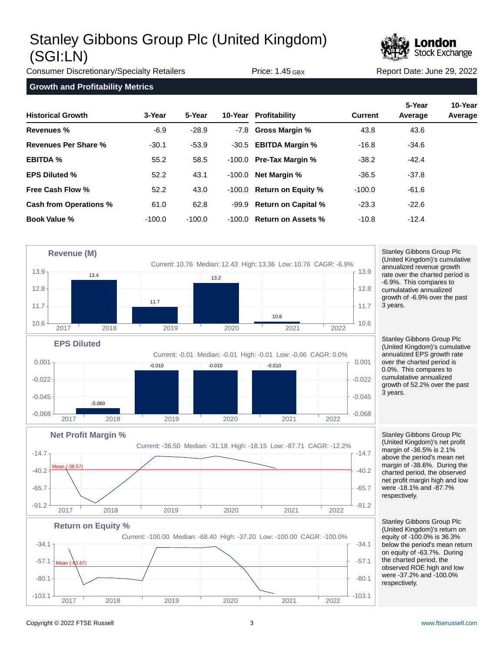

Consumer Discretionary/Specialty Retailers **Price: 1.45 GBX** Report Date: June 29, 2022

**Growth and Profitability Metrics**

| <b>Historical Growth</b> | 3-Year   | 5-Year   |        | 10-Year Profitability        | <b>Current</b> | 5-Year<br>Average | 10-Year<br>Average |
|--------------------------|----------|----------|--------|------------------------------|----------------|-------------------|--------------------|
| Revenues %               | $-6.9$   | $-28.9$  |        | -7.8 Gross Margin %          | 43.8           | 43.6              |                    |
| Revenues Per Share %     | $-30.1$  | $-53.9$  |        | -30.5 <b>EBITDA Margin %</b> | $-16.8$        | $-34.6$           |                    |
| <b>EBITDA %</b>          | 55.2     | 58.5     |        | $-100.0$ Pre-Tax Margin %    | $-38.2$        | $-42.4$           |                    |
| <b>EPS Diluted %</b>     | 52.2     | 43.1     |        | $-100.0$ Net Margin %        | $-36.5$        | $-37.8$           |                    |
| <b>Free Cash Flow %</b>  | 52.2     | 43.0     |        | -100.0 Return on Equity %    | $-100.0$       | $-61.6$           |                    |
| Cash from Operations %   | 61.0     | 62.8     |        | -99.9 Return on Capital %    | $-23.3$        | $-22.6$           |                    |
| <b>Book Value %</b>      | $-100.0$ | $-100.0$ | -100.0 | <b>Return on Assets %</b>    | $-10.8$        | $-12.4$           |                    |



cumulatative annualized growth of -6.9% over the past 3 years. Stanley Gibbons Group Plc

(United Kingdom)'s cumulative annualized EPS growth rate over the charted period is 0.0%. This compares to cumulatative annualized growth of 52.2% over the past 3 years.

Stanley Gibbons Group Plc (United Kingdom)'s net profit margin of -36.5% is 2.1% above the period's mean net margin of -38.6%. During the charted period, the observed net profit margin high and low were -18.1% and -87.7% respectively.



 $-91.2$   $-91.2$   $-91.2$   $-91.2$ 

2017 2018 2019 2020 2021 2022

 $-65.7$   $\uparrow$   $-65.7$ 

-40.2 -40.2

 $-14.7$   $\sigma$   $-14.7$ 

Stanley Gibbons Group Plc (United Kingdom)'s return on equity of -100.0% is 36.3% below the period's mean return on equity of -63.7%. During the charted period, the observed ROE high and low were -37.2% and -100.0% respectively.

 $-38.57$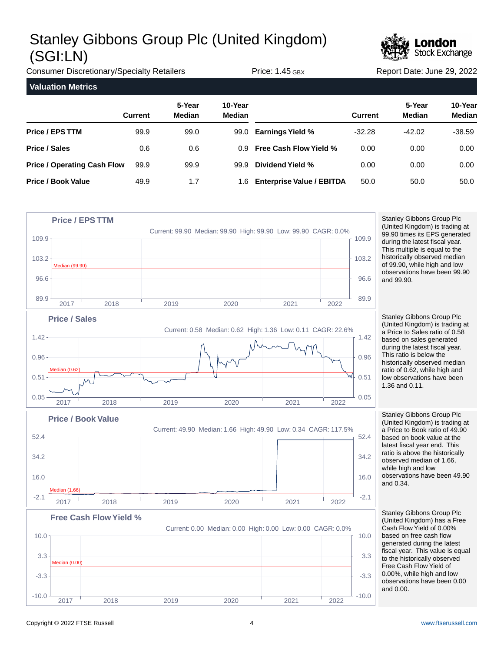

Consumer Discretionary/Specialty Retailers **Price: 1.45 GBX** Report Date: June 29, 2022 **Valuation Metrics 5-Year 10-Year Current Median Median Price / EPS TTM Price / Sales Price / Operating Cash Flow Price / Book Value 5-Year 10-Year Current Median Median Earnings Yield % Free Cash Flow Yield % Dividend Yield % Enterprise Value / EBITDA** 99.9 0.6 99.9 49.9 99.0 0.6 99.9 1.7 99.0 0.9 99.9 1.6 -32.28 0.00 0.00 50.0 -42.02 0.00 0.00 50.0 -38.59 0.00 0.00 50.0



Stanley Gibbons Group Plc (United Kingdom) has a Free Cash Flow Yield of 0.00% based on free cash flow generated during the latest fiscal year. This value is equal to the historically observed Free Cash Flow Yield of 0.00%, while high and low observations have been 0.00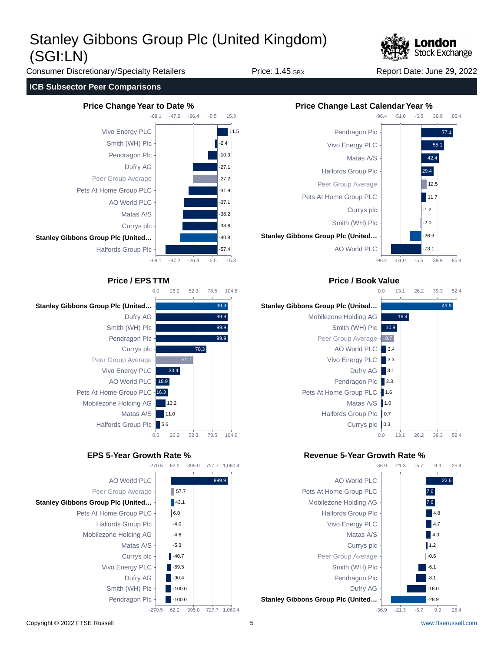

Consumer Discretionary/Specialty Retailers **Price: 1.45 GBX** Report Date: June 29, 2022

### **ICB Subsector Peer Comparisons**







999.9





## **Price / EPS TTM Price / Book Value**



## **EPS 5-Year Growth Rate % Revenue 5-Year Growth Rate %**



727.7 1,060.4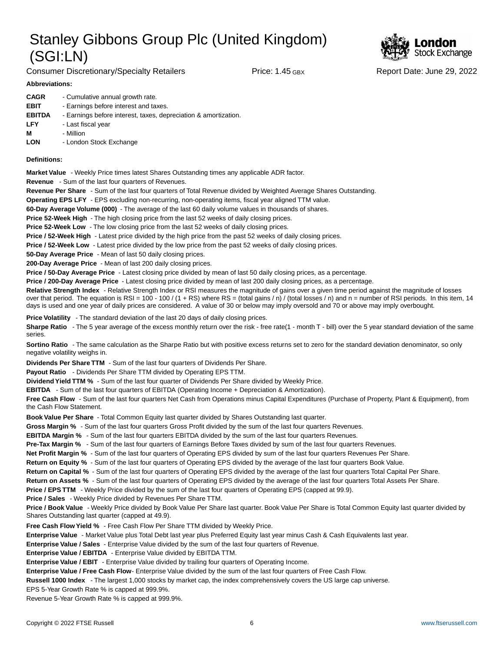Consumer Discretionary/Specialty Retailers **Price: 1.45 GBX** Report Date: June 29, 2022



### **Abbreviations:**

| <b>CAGR</b>   | - Cumulative annual growth rate.                                |
|---------------|-----------------------------------------------------------------|
| <b>EBIT</b>   | - Earnings before interest and taxes.                           |
| <b>EBITDA</b> | - Earnings before interest, taxes, depreciation & amortization. |
| <b>LFY</b>    | - Last fiscal year                                              |
| М             | - Million                                                       |
| LON           | - London Stock Exchange                                         |

### **Definitions:**

**Market Value** - Weekly Price times latest Shares Outstanding times any applicable ADR factor.

**Revenue** - Sum of the last four quarters of Revenues.

**Revenue Per Share** - Sum of the last four quarters of Total Revenue divided by Weighted Average Shares Outstanding.

**Operating EPS LFY** - EPS excluding non-recurring, non-operating items, fiscal year aligned TTM value.

60-Day Average Volume (000) - The average of the last 60 daily volume values in thousands of shares.

**Price 52-Week High** - The high closing price from the last 52 weeks of daily closing prices.

**Price 52-Week Low** - The low closing price from the last 52 weeks of daily closing prices.

**Price / 52-Week High** - Latest price divided by the high price from the past 52 weeks of daily closing prices.

**Price / 52-Week Low** - Latest price divided by the low price from the past 52 weeks of daily closing prices.

**50-Day Average Price** - Mean of last 50 daily closing prices.

**200-Day Average Price** - Mean of last 200 daily closing prices.

Price / 50-Day Average Price - Latest closing price divided by mean of last 50 daily closing prices, as a percentage.

**Price / 200-Day Average Price** - Latest closing price divided by mean of last 200 daily closing prices, as a percentage.

Relative Strength Index - Relative Strength Index or RSI measures the magnitude of gains over a given time period against the magnitude of losses over that period. The equation is RSI = 100 - 100 / (1 + RS) where RS = (total gains / n) / (total losses / n) and n = number of RSI periods. In this item, 14 days is used and one year of daily prices are considered. A value of 30 or below may imply oversold and 70 or above may imply overbought.

**Price Volatility** - The standard deviation of the last 20 days of daily closing prices.

Sharpe Ratio - The 5 year average of the excess monthly return over the risk - free rate(1 - month T - bill) over the 5 year standard deviation of the same series.

**Sortino Ratio** - The same calculation as the Sharpe Ratio but with positive excess returns set to zero for the standard deviation denominator, so only negative volatility weighs in.

**Dividends Per Share TTM** - Sum of the last four quarters of Dividends Per Share.

Payout Ratio - Dividends Per Share TTM divided by Operating EPS TTM.

**Dividend Yield TTM %** - Sum of the last four quarter of Dividends Per Share divided by Weekly Price.

**EBITDA** - Sum of the last four quarters of EBITDA (Operating Income + Depreciation & Amortization).

**Free Cash Flow** - Sum of the last four quarters Net Cash from Operations minus Capital Expenditures (Purchase of Property, Plant & Equipment), from the Cash Flow Statement.

**Book Value Per Share** - Total Common Equity last quarter divided by Shares Outstanding last quarter.

**Gross Margin %** - Sum of the last four quarters Gross Profit divided by the sum of the last four quarters Revenues.

**EBITDA Margin %** - Sum of the last four quarters EBITDA divided by the sum of the last four quarters Revenues.

**Pre-Tax Margin %** - Sum of the last four quarters of Earnings Before Taxes divided by sum of the last four quarters Revenues.

**Net Profit Margin %** - Sum of the last four quarters of Operating EPS divided by sum of the last four quarters Revenues Per Share.

**Return on Equity %** - Sum of the last four quarters of Operating EPS divided by the average of the last four quarters Book Value.

**Return on Capital %** - Sum of the last four quarters of Operating EPS divided by the average of the last four quarters Total Capital Per Share.

**Return on Assets %** - Sum of the last four quarters of Operating EPS divided by the average of the last four quarters Total Assets Per Share.

**Price / EPS TTM** - Weekly Price divided by the sum of the last four quarters of Operating EPS (capped at 99.9).

**Price / Sales** - Weekly Price divided by Revenues Per Share TTM.

**Price / Book Value** - Weekly Price divided by Book Value Per Share last quarter. Book Value Per Share is Total Common Equity last quarter divided by Shares Outstanding last quarter (capped at 49.9).

**Free Cash Flow Yield %** - Free Cash Flow Per Share TTM divided by Weekly Price.

Enterprise Value - Market Value plus Total Debt last year plus Preferred Equity last year minus Cash & Cash Equivalents last year.

**Enterprise Value / Sales** - Enterprise Value divided by the sum of the last four quarters of Revenue.

**Enterprise Value / EBITDA** - Enterprise Value divided by EBITDA TTM.

**Enterprise Value / EBIT** - Enterprise Value divided by trailing four quarters of Operating Income.

Enterprise Value / Free Cash Flow- Enterprise Value divided by the sum of the last four quarters of Free Cash Flow.

**Russell 1000 Index** - The largest 1,000 stocks by market cap, the index comprehensively covers the US large cap universe.

EPS 5-Year Growth Rate % is capped at 999.9%.

Revenue 5-Year Growth Rate % is capped at 999.9%.